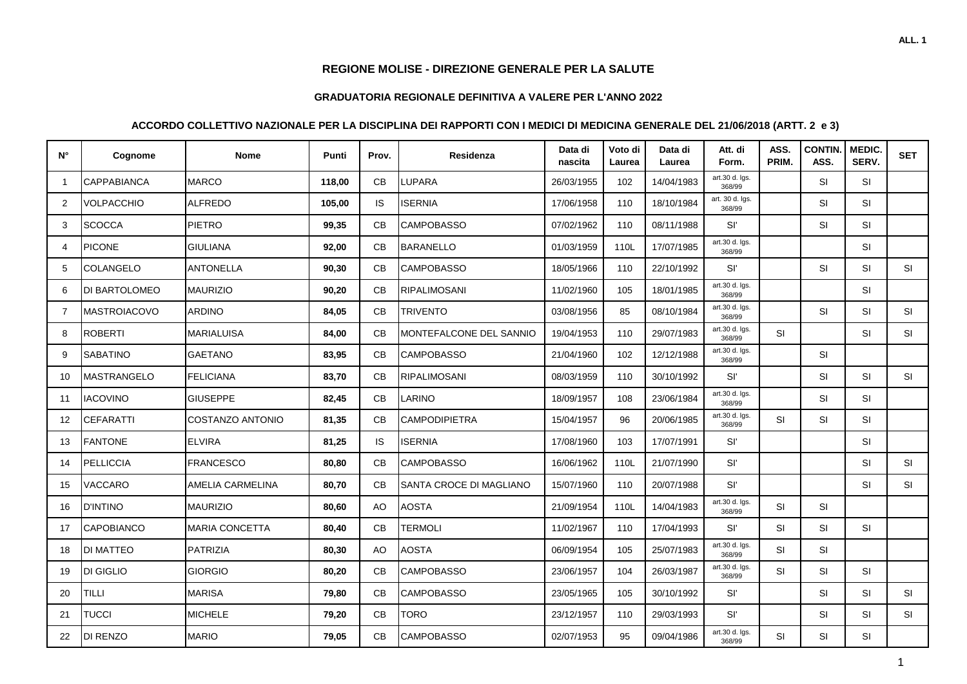## **REGIONE MOLISE - DIREZIONE GENERALE PER LA SALUTE**

## **GRADUATORIA REGIONALE DEFINITIVA A VALERE PER L'ANNO 2022**

## **ACCORDO COLLETTIVO NAZIONALE PER LA DISCIPLINA DEI RAPPORTI CON I MEDICI DI MEDICINA GENERALE DEL 21/06/2018 (ARTT. 2 e 3)**

| N° | Cognome             | <b>Nome</b>             | Punti  | Prov.     | Residenza                        | Data di<br>nascita | Voto di<br>Laurea | Data di<br>Laurea | Att. di<br>Form.          | ASS.<br><b>PRIM</b> | <b>CONTIN.</b><br>ASS. | MEDIC.<br>SERV. | <b>SET</b> |
|----|---------------------|-------------------------|--------|-----------|----------------------------------|--------------------|-------------------|-------------------|---------------------------|---------------------|------------------------|-----------------|------------|
| -1 | CAPPABIANCA         | <b>MARCO</b>            | 118,00 | CB        | <b>LUPARA</b>                    | 26/03/1955         | 102               | 14/04/1983        | art.30 d. lgs.<br>368/99  |                     | SI                     | <b>SI</b>       |            |
| 2  | VOLPACCHIO          | ALFREDO                 | 105,00 | IS        | <b>ISERNIA</b>                   | 17/06/1958         | 110               | 18/10/1984        | art. 30 d. lgs.<br>368/99 |                     | SI                     | <b>SI</b>       |            |
| 3  | <b>SCOCCA</b>       | PIETRO                  | 99,35  | CB        | <b>CAMPOBASSO</b>                | 07/02/1962         | 110               | 08/11/1988        | Sľ                        |                     | SI                     | <b>SI</b>       |            |
| 4  | <b>PICONE</b>       | <b>GIULIANA</b>         | 92,00  | <b>CB</b> | BARANELLO                        | 01/03/1959         | 110L              | 17/07/1985        | art.30 d. Igs.<br>368/99  |                     |                        | <b>SI</b>       |            |
| 5  | COLANGELO           | <b>ANTONELLA</b>        | 90,30  | CB        | <b>CAMPOBASSO</b>                | 18/05/1966         | 110               | 22/10/1992        | Sľ                        |                     | SI                     | <b>SI</b>       | SI         |
| 6  | DI BARTOLOMEO       | <b>MAURIZIO</b>         | 90,20  | CB        | RIPALIMOSANI                     | 11/02/1960         | 105               | 18/01/1985        | art.30 d. Igs.<br>368/99  |                     |                        | <b>SI</b>       |            |
| 7  | <b>MASTROIACOVO</b> | <b>ARDINO</b>           | 84,05  | CB        | <b>TRIVENTO</b>                  | 03/08/1956         | 85                | 08/10/1984        | art.30 d. lgs.<br>368/99  |                     | <b>SI</b>              | <b>SI</b>       | SI         |
| 8  | <b>ROBERTI</b>      | <b>MARIALUISA</b>       | 84,00  | CB        | <b>I</b> MONTEFALCONE DEL SANNIO | 19/04/1953         | 110               | 29/07/1983        | art.30 d. Igs.<br>368/99  | <b>SI</b>           |                        | <b>SI</b>       | <b>SI</b>  |
| 9  | <b>SABATINO</b>     | <b>GAETANO</b>          | 83,95  | <b>CB</b> | <b>CAMPOBASSO</b>                | 21/04/1960         | 102               | 12/12/1988        | art.30 d. Igs.<br>368/99  |                     | SI                     |                 |            |
| 10 | MASTRANGELO         | <b>FELICIANA</b>        | 83,70  | CB        | RIPALIMOSANI                     | 08/03/1959         | 110               | 30/10/1992        | Sľ                        |                     | SI                     | <b>SI</b>       | <b>SI</b>  |
| 11 | <b>IACOVINO</b>     | <b>GIUSEPPE</b>         | 82,45  | <b>CB</b> | LARINO                           | 18/09/1957         | 108               | 23/06/1984        | art.30 d. Igs.<br>368/99  |                     | SI                     | <b>SI</b>       |            |
| 12 | CEFARATTI           | <b>COSTANZO ANTONIO</b> | 81,35  | <b>CB</b> | <b>CAMPODIPIETRA</b>             | 15/04/1957         | 96                | 20/06/1985        | art.30 d. Igs.<br>368/99  | <b>SI</b>           | SI                     | <b>SI</b>       |            |
| 13 | <b>FANTONE</b>      | <b>ELVIRA</b>           | 81,25  | <b>IS</b> | <b>ISERNIA</b>                   | 17/08/1960         | 103               | 17/07/1991        | Sľ                        |                     |                        | SI              |            |
| 14 | <b>PELLICCIA</b>    | <b>FRANCESCO</b>        | 80,80  | CB        | <b>CAMPOBASSO</b>                | 16/06/1962         | 110L              | 21/07/1990        | Sľ                        |                     |                        | <b>SI</b>       | SI         |
| 15 | VACCARO             | AMELIA CARMELINA        | 80,70  | CB        | <b>SANTA CROCE DI MAGLIANO</b>   | 15/07/1960         | 110               | 20/07/1988        | Sľ                        |                     |                        | SI              | <b>SI</b>  |
| 16 | <b>D'INTINO</b>     | <b>MAURIZIO</b>         | 80,60  | <b>AO</b> | <b>AOSTA</b>                     | 21/09/1954         | 110L              | 14/04/1983        | art.30 d. Igs.<br>368/99  | <b>SI</b>           | SI                     |                 |            |
| 17 | <b>CAPOBIANCO</b>   | <b>MARIA CONCETTA</b>   | 80,40  | <b>CB</b> | <b>TERMOLI</b>                   | 11/02/1967         | 110               | 17/04/1993        | Sľ                        | <b>SI</b>           | SI                     | <b>SI</b>       |            |
| 18 | DI MATTEO           | <b>PATRIZIA</b>         | 80,30  | <b>AO</b> | <b>AOSTA</b>                     | 06/09/1954         | 105               | 25/07/1983        | art.30 d. lgs.<br>368/99  | <b>SI</b>           | SI                     |                 |            |
| 19 | DI GIGLIO           | <b>GIORGIO</b>          | 80,20  | <b>CB</b> | <b>CAMPOBASSO</b>                | 23/06/1957         | 104               | 26/03/1987        | art.30 d. Igs.<br>368/99  | <b>SI</b>           | SI                     | <b>SI</b>       |            |
| 20 | <b>TILLI</b>        | <b>MARISA</b>           | 79,80  | CB        | <b>CAMPOBASSO</b>                | 23/05/1965         | 105               | 30/10/1992        | Sľ                        |                     | SI                     | <b>SI</b>       | SI         |
| 21 | <b>TUCCI</b>        | <b>MICHELE</b>          | 79,20  | CB        | <b>TORO</b>                      | 23/12/1957         | 110               | 29/03/1993        | Sľ                        |                     | SI                     | <b>SI</b>       | <b>SI</b>  |
| 22 | DI RENZO            | <b>MARIO</b>            | 79,05  | CВ        | <b>CAMPOBASSO</b>                | 02/07/1953         | 95                | 09/04/1986        | art.30 d. Igs.<br>368/99  | SI                  | SI                     | <b>SI</b>       |            |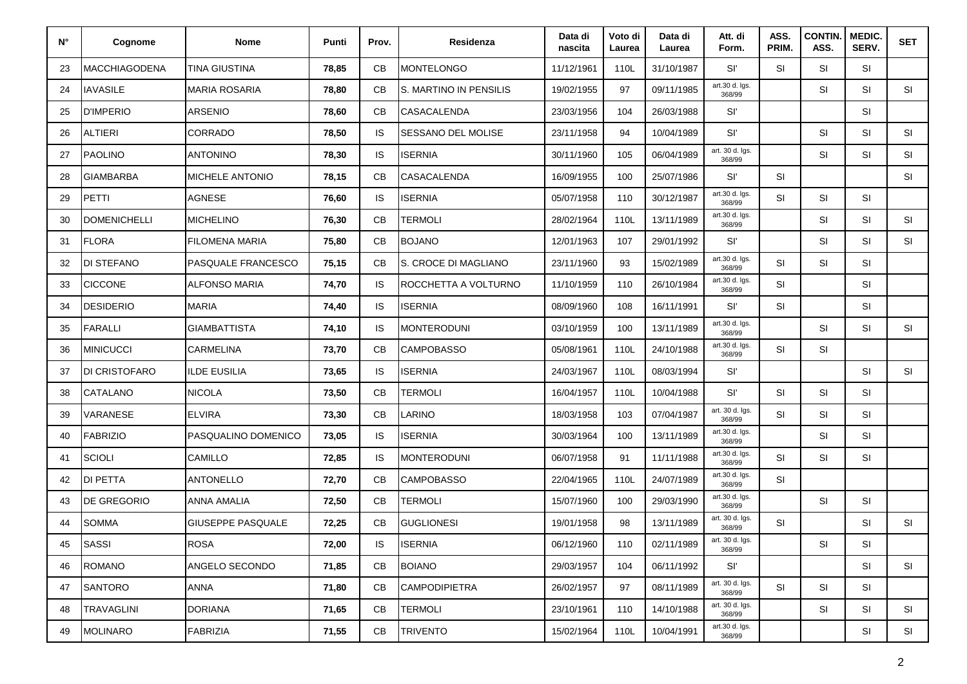| N° | Cognome              | <b>Nome</b>              | Punti | Prov.     | Residenza              | Data di<br>nascita | Voto di<br>Laurea | Data di<br>Laurea | Att. di<br>Form.          | ASS.<br>PRIM. | <b>CONTIN</b><br>ASS. | <b>MEDIC.</b><br>SERV. | <b>SET</b> |
|----|----------------------|--------------------------|-------|-----------|------------------------|--------------------|-------------------|-------------------|---------------------------|---------------|-----------------------|------------------------|------------|
| 23 | <b>MACCHIAGODENA</b> | TINA GIUSTINA            | 78,85 | CВ        | <b>MONTELONGO</b>      | 11/12/1961         | 110L              | 31/10/1987        | Sľ                        | <b>SI</b>     | <b>SI</b>             | SI                     |            |
| 24 | <b>IAVASILE</b>      | <b>MARIA ROSARIA</b>     | 78,80 | CB        | S. MARTINO IN PENSILIS | 19/02/1955         | 97                | 09/11/1985        | art.30 d. Igs.<br>368/99  |               | SI                    | <b>SI</b>              | <b>SI</b>  |
| 25 | <b>D'IMPERIO</b>     | <b>ARSENIO</b>           | 78,60 | CB        | CASACALENDA            | 23/03/1956         | 104               | 26/03/1988        | Sľ                        |               |                       | <b>SI</b>              |            |
| 26 | <b>ALTIERI</b>       | CORRADO                  | 78,50 | IS.       | SESSANO DEL MOLISE     | 23/11/1958         | 94                | 10/04/1989        | Sľ                        |               | SI                    | <b>SI</b>              | <b>SI</b>  |
| 27 | <b>PAOLINO</b>       | <b>ANTONINO</b>          | 78,30 | IS.       | <b>ISERNIA</b>         | 30/11/1960         | 105               | 06/04/1989        | art. 30 d. lgs.<br>368/99 |               | <b>SI</b>             | SI                     | SI         |
| 28 | GIAMBARBA            | MICHELE ANTONIO          | 78,15 | CB        | <b>CASACALENDA</b>     | 16/09/1955         | 100               | 25/07/1986        | Sľ                        | <b>SI</b>     |                       |                        | <b>SI</b>  |
| 29 | PETTI                | <b>AGNESE</b>            | 76,60 | IS.       | <b>ISERNIA</b>         | 05/07/1958         | 110               | 30/12/1987        | art.30 d. Igs.<br>368/99  | <b>SI</b>     | SI                    | <b>SI</b>              |            |
| 30 | <b>DOMENICHELLI</b>  | <b>MICHELINO</b>         | 76,30 | CB        | TERMOLI                | 28/02/1964         | 110L              | 13/11/1989        | art.30 d. Igs.<br>368/99  |               | SI                    | <b>SI</b>              | <b>SI</b>  |
| 31 | <b>FLORA</b>         | <b>FILOMENA MARIA</b>    | 75,80 | CB        | <b>BOJANO</b>          | 12/01/1963         | 107               | 29/01/1992        | Sľ                        |               | SI                    | <b>SI</b>              | <b>SI</b>  |
| 32 | DI STEFANO           | PASQUALE FRANCESCO       | 75,15 | CB        | S. CROCE DI MAGLIANO   | 23/11/1960         | 93                | 15/02/1989        | art.30 d. Igs.<br>368/99  | <b>SI</b>     | SI                    | <b>SI</b>              |            |
| 33 | <b>CICCONE</b>       | ALFONSO MARIA            | 74,70 | IS.       | ROCCHETTA A VOLTURNO   | 11/10/1959         | 110               | 26/10/1984        | art.30 d. Igs.<br>368/99  | <b>SI</b>     |                       | <b>SI</b>              |            |
| 34 | <b>DESIDERIO</b>     | <b>MARIA</b>             | 74,40 | IS.       | <b>ISERNIA</b>         | 08/09/1960         | 108               | 16/11/1991        | Sľ                        | <b>SI</b>     |                       | <b>SI</b>              |            |
| 35 | <b>FARALLI</b>       | <b>GIAMBATTISTA</b>      | 74,10 | IS.       | <b>MONTERODUNI</b>     | 03/10/1959         | 100               | 13/11/1989        | art.30 d. Igs.<br>368/99  |               | <b>SI</b>             | <b>SI</b>              | <b>SI</b>  |
| 36 | <b>MINICUCCI</b>     | <b>CARMELINA</b>         | 73,70 | CB        | <b>CAMPOBASSO</b>      | 05/08/1961         | 110L              | 24/10/1988        | art.30 d. lgs.<br>368/99  | <b>SI</b>     | <b>SI</b>             |                        |            |
| 37 | DI CRISTOFARO        | ILDE EUSILIA             | 73,65 | IS.       | <b>ISERNIA</b>         | 24/03/1967         | 110L              | 08/03/1994        | Sľ                        |               |                       | <b>SI</b>              | <b>SI</b>  |
| 38 | <b>CATALANO</b>      | <b>NICOLA</b>            | 73,50 | <b>CB</b> | <b>TERMOLI</b>         | 16/04/1957         | 110L              | 10/04/1988        | Sľ                        | <b>SI</b>     | SI                    | <b>SI</b>              |            |
| 39 | VARANESE             | <b>ELVIRA</b>            | 73,30 | CB        | LARINO                 | 18/03/1958         | 103               | 07/04/1987        | art. 30 d. lgs.<br>368/99 | SI            | SI                    | <b>SI</b>              |            |
| 40 | <b>FABRIZIO</b>      | PASQUALINO DOMENICO      | 73,05 | IS.       | <b>ISERNIA</b>         | 30/03/1964         | 100               | 13/11/1989        | art.30 d. Igs.<br>368/99  |               | SI                    | <b>SI</b>              |            |
| 41 | <b>SCIOLI</b>        | CAMILLO                  | 72,85 | IS.       | <b>MONTERODUNI</b>     | 06/07/1958         | 91                | 11/11/1988        | art.30 d. Igs.<br>368/99  | <b>SI</b>     | <b>SI</b>             | SI                     |            |
| 42 | DI PETTA             | ANTONELLO                | 72,70 | CB        | <b>CAMPOBASSO</b>      | 22/04/1965         | 110L              | 24/07/1989        | art.30 d. Igs.<br>368/99  | SI            |                       |                        |            |
| 43 | DE GREGORIO          | ANNA AMALIA              | 72,50 | CB        | <b>TERMOLI</b>         | 15/07/1960         | 100               | 29/03/1990        | art.30 d. Igs.<br>368/99  |               | <b>SI</b>             | <b>SI</b>              |            |
| 44 | <b>SOMMA</b>         | <b>GIUSEPPE PASQUALE</b> | 72,25 | CB        | <b>GUGLIONESI</b>      | 19/01/1958         | 98                | 13/11/1989        | art. 30 d. lgs.<br>368/99 | SI            |                       | SI                     | SI         |
| 45 | <b>SASSI</b>         | <b>ROSA</b>              | 72,00 | IS.       | <b>ISERNIA</b>         | 06/12/1960         | 110               | 02/11/1989        | art. 30 d. Igs.<br>368/99 |               | SI                    | <b>SI</b>              |            |
| 46 | <b>ROMANO</b>        | ANGELO SECONDO           | 71,85 | CB        | <b>BOIANO</b>          | 29/03/1957         | 104               | 06/11/1992        | Sľ                        |               |                       | <b>SI</b>              | <b>SI</b>  |
| 47 | <b>SANTORO</b>       | ANNA                     | 71,80 | CB        | <b>CAMPODIPIETRA</b>   | 26/02/1957         | 97                | 08/11/1989        | art. 30 d. lgs.<br>368/99 | SI            | SI                    | <b>SI</b>              |            |
| 48 | TRAVAGLINI           | <b>DORIANA</b>           | 71,65 | CB        | <b>TERMOLI</b>         | 23/10/1961         | 110               | 14/10/1988        | art. 30 d. lgs.<br>368/99 |               | SI                    | <b>SI</b>              | SI         |
| 49 | <b>MOLINARO</b>      | <b>FABRIZIA</b>          | 71,55 | СB        | <b>TRIVENTO</b>        | 15/02/1964         | 110L              | 10/04/1991        | art.30 d. Igs.<br>368/99  |               |                       | SI                     | SI         |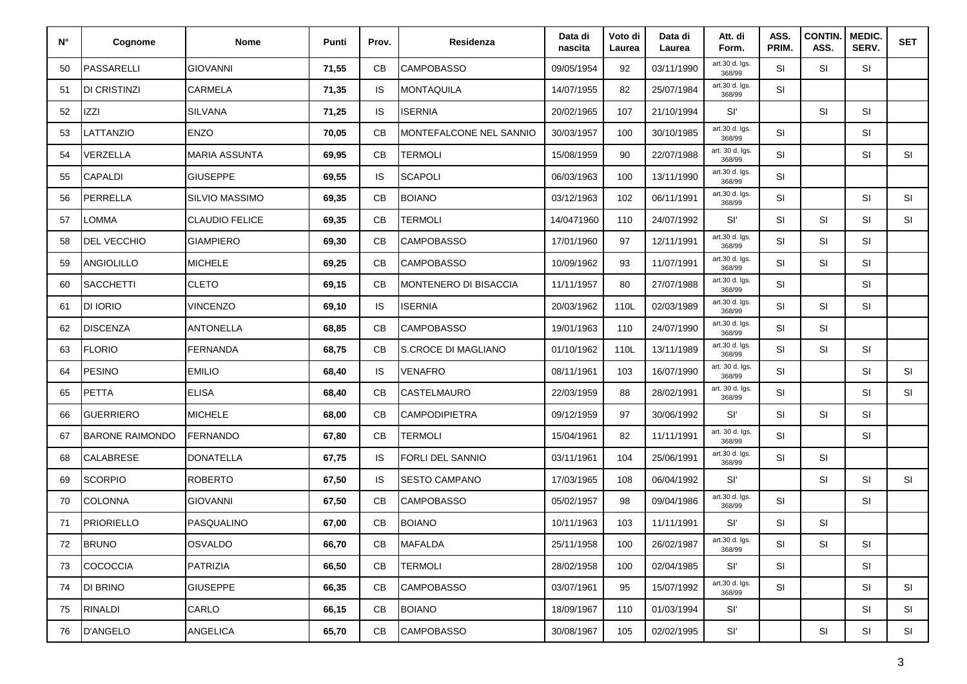| N° | Cognome                | <b>Nome</b>           | Punti | Prov.     | Residenza                    | Data di<br>nascita | Voto di<br>Laurea | Data di<br>Laurea | Att. di<br>Form.          | ASS.<br>PRIM. | <b>CONTIN.</b><br>ASS. | MEDIC.<br>SERV. | <b>SET</b> |
|----|------------------------|-----------------------|-------|-----------|------------------------------|--------------------|-------------------|-------------------|---------------------------|---------------|------------------------|-----------------|------------|
| 50 | <b>PASSARELLI</b>      | <b>GIOVANNI</b>       | 71,55 | СB        | <b>CAMPOBASSO</b>            | 09/05/1954         | 92                | 03/11/1990        | art.30 d. Igs.<br>368/99  | <b>SI</b>     | <b>SI</b>              | SI              |            |
| 51 | <b>DI CRISTINZI</b>    | CARMELA               | 71,35 | IS.       | MONTAQUILA                   | 14/07/1955         | 82                | 25/07/1984        | art.30 d. Igs.<br>368/99  | SI            |                        |                 |            |
| 52 | <b>IZZI</b>            | <b>SILVANA</b>        | 71,25 | IS.       | <b>ISERNIA</b>               | 20/02/1965         | 107               | 21/10/1994        | Sľ                        |               | <b>SI</b>              | <b>SI</b>       |            |
| 53 | LATTANZIO              | <b>ENZO</b>           | 70,05 | CB        | MONTEFALCONE NEL SANNIO      | 30/03/1957         | 100               | 30/10/1985        | art.30 d. Igs.<br>368/99  | <b>SI</b>     |                        | SI              |            |
| 54 | VERZELLA               | <b>MARIA ASSUNTA</b>  | 69,95 | CB        | <b>TERMOLI</b>               | 15/08/1959         | 90                | 22/07/1988        | art. 30 d. lgs.<br>368/99 | <b>SI</b>     |                        | SI              | <b>SI</b>  |
| 55 | CAPALDI                | <b>GIUSEPPE</b>       | 69,55 | IS.       | <b>SCAPOLI</b>               | 06/03/1963         | 100               | 13/11/1990        | art.30 d. Igs.<br>368/99  | <b>SI</b>     |                        |                 |            |
| 56 | PERRELLA               | SILVIO MASSIMO        | 69,35 | СB        | <b>BOIANO</b>                | 03/12/1963         | 102               | 06/11/1991        | art.30 d. Igs.<br>368/99  | SI            |                        | <b>SI</b>       | <b>SI</b>  |
| 57 | OMMA-                  | <b>CLAUDIO FELICE</b> | 69,35 | CB        | <b>TERMOLI</b>               | 14/0471960         | 110               | 24/07/1992        | Sľ                        | <b>SI</b>     | <b>SI</b>              | SI              | <b>SI</b>  |
| 58 | DEL VECCHIO            | <b>GIAMPIERO</b>      | 69,30 | CB        | <b>CAMPOBASSO</b>            | 17/01/1960         | 97                | 12/11/1991        | art.30 d. Igs.<br>368/99  | <b>SI</b>     | SI                     | SI              |            |
| 59 | ANGIOLILLO             | <b>MICHELE</b>        | 69,25 | CB        | <b>CAMPOBASSO</b>            | 10/09/1962         | 93                | 11/07/1991        | art.30 d. Igs.<br>368/99  | <b>SI</b>     | SI                     | SI              |            |
| 60 | <b>SACCHETTI</b>       | <b>CLETO</b>          | 69,15 | CB        | <b>MONTENERO DI BISACCIA</b> | 11/11/1957         | 80                | 27/07/1988        | art.30 d. Igs.<br>368/99  | <b>SI</b>     |                        | SI              |            |
| 61 | <b>DI IORIO</b>        | <b>VINCENZO</b>       | 69,10 | IS        | <b>ISERNIA</b>               | 20/03/1962         | 110L              | 02/03/1989        | art.30 d. Igs.<br>368/99  | <b>SI</b>     | <b>SI</b>              | <b>SI</b>       |            |
| 62 | <b>DISCENZA</b>        | ANTONELLA             | 68,85 | CB        | <b>CAMPOBASSO</b>            | 19/01/1963         | 110               | 24/07/1990        | art.30 d. Igs.<br>368/99  | <b>SI</b>     | SI                     |                 |            |
| 63 | <b>FLORIO</b>          | <b>FERNANDA</b>       | 68,75 | СB        | S.CROCE DI MAGLIANO          | 01/10/1962         | 110L              | 13/11/1989        | art.30 d. Igs.<br>368/99  | SI            | SI                     | <b>SI</b>       |            |
| 64 | <b>PESINO</b>          | <b>EMILIO</b>         | 68,40 | <b>IS</b> | <b>VENAFRO</b>               | 08/11/1961         | 103               | 16/07/1990        | art. 30 d. lgs.<br>368/99 | <b>SI</b>     |                        | SI              | <b>SI</b>  |
| 65 | <b>PETTA</b>           | <b>ELISA</b>          | 68,40 | CB        | CASTELMAURO                  | 22/03/1959         | 88                | 28/02/1991        | art. 30 d. lgs.<br>368/99 | SI            |                        | SI              | SI         |
| 66 | <b>GUERRIERO</b>       | MICHELE               | 68,00 | CB        | <b>CAMPODIPIETRA</b>         | 09/12/1959         | 97                | 30/06/1992        | Sľ                        | <b>SI</b>     | SI                     | <b>SI</b>       |            |
| 67 | <b>BARONE RAIMONDO</b> | <b>FERNANDO</b>       | 67,80 | CB        | <b>TERMOLI</b>               | 15/04/1961         | 82                | 11/11/1991        | art. 30 d. lgs.<br>368/99 | <b>SI</b>     |                        | <b>SI</b>       |            |
| 68 | <b>CALABRESE</b>       | <b>DONATELLA</b>      | 67,75 | IS.       | <b>FORLI DEL SANNIO</b>      | 03/11/1961         | 104               | 25/06/1991        | art.30 d. Igs.<br>368/99  | <b>SI</b>     | <b>SI</b>              |                 |            |
| 69 | <b>SCORPIO</b>         | <b>ROBERTO</b>        | 67,50 | <b>IS</b> | <b>SESTO CAMPANO</b>         | 17/03/1965         | 108               | 06/04/1992        | Sľ                        |               | SI                     | SI              | <b>SI</b>  |
| 70 | <b>COLONNA</b>         | <b>GIOVANNI</b>       | 67,50 | CB        | <b>CAMPOBASSO</b>            | 05/02/1957         | 98                | 09/04/1986        | art.30 d. Igs.<br>368/99  | SI            |                        | <b>SI</b>       |            |
| 71 | <b>PRIORIELLO</b>      | <b>PASQUALINO</b>     | 67,00 | CB        | <b>BOIANO</b>                | 10/11/1963         | 103               | 11/11/1991        | Sľ                        | SI            | SI                     |                 |            |
| 72 | <b>BRUNO</b>           | <b>OSVALDO</b>        | 66,70 | CВ        | <b>MAFALDA</b>               | 25/11/1958         | 100               | 26/02/1987        | art.30 d. Igs.<br>368/99  | SI            | SI                     | SI              |            |
| 73 | <b>COCOCCIA</b>        | <b>PATRIZIA</b>       | 66,50 | CB        | <b>TERMOLI</b>               | 28/02/1958         | 100               | 02/04/1985        | Sľ.                       | SI            |                        | SI              |            |
| 74 | DI BRINO               | <b>GIUSEPPE</b>       | 66,35 | CB        | <b>CAMPOBASSO</b>            | 03/07/1961         | 95                | 15/07/1992        | art.30 d. Igs.<br>368/99  | SI            |                        | <b>SI</b>       | <b>SI</b>  |
| 75 | <b>RINALDI</b>         | CARLO                 | 66,15 | CB        | <b>BOIANO</b>                | 18/09/1967         | 110               | 01/03/1994        | Sľ                        |               |                        | <b>SI</b>       | <b>SI</b>  |
| 76 | <b>D'ANGELO</b>        | <b>ANGELICA</b>       | 65,70 | CB        | <b>CAMPOBASSO</b>            | 30/08/1967         | 105               | 02/02/1995        | $\mathsf{SI}'$            |               | SI                     | SI              | SI         |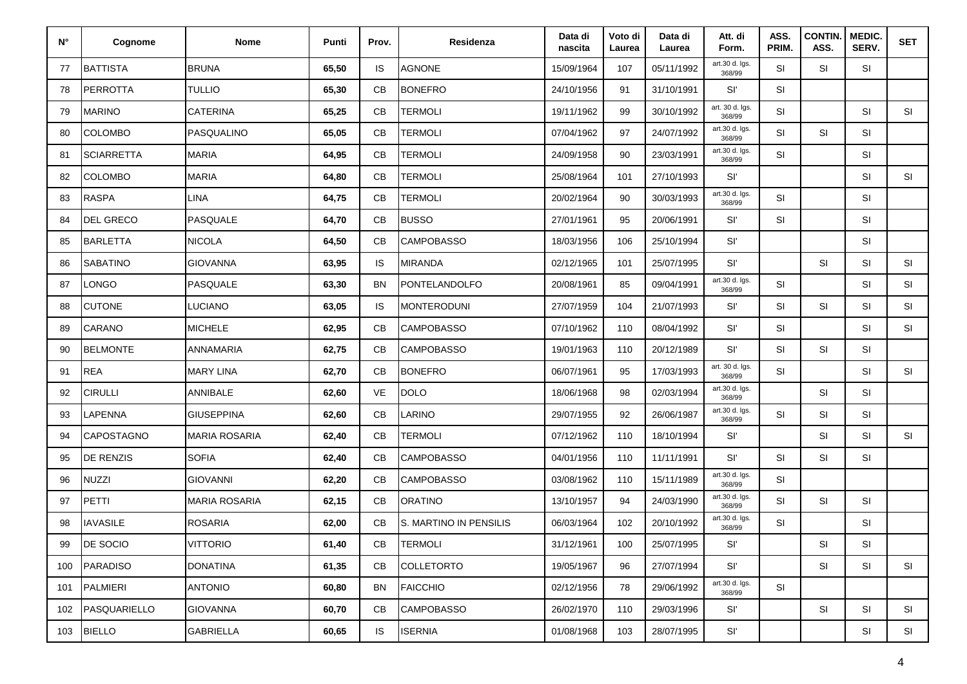| $N^{\circ}$ | Cognome           | <b>Nome</b>          | Punti | Prov.     | Residenza              | Data di<br>nascita | Voto di<br>Laurea | Data di<br>Laurea | Att. di<br>Form.          | ASS.<br>PRIM. | <b>CONTIN</b><br>ASS. | MEDIC.<br>SERV. | <b>SET</b> |
|-------------|-------------------|----------------------|-------|-----------|------------------------|--------------------|-------------------|-------------------|---------------------------|---------------|-----------------------|-----------------|------------|
| 77          | <b>BATTISTA</b>   | <b>BRUNA</b>         | 65,50 | IS        | <b>AGNONE</b>          | 15/09/1964         | 107               | 05/11/1992        | art.30 d. Igs.<br>368/99  | <b>SI</b>     | <b>SI</b>             | SI              |            |
| 78          | PERROTTA          | <b>TULLIO</b>        | 65,30 | CВ        | <b>BONEFRO</b>         | 24/10/1956         | 91                | 31/10/1991        | Sľ                        | <b>SI</b>     |                       |                 |            |
| 79          | <b>MARINO</b>     | <b>CATERINA</b>      | 65,25 | CB        | <b>TERMOLI</b>         | 19/11/1962         | 99                | 30/10/1992        | art. 30 d. lgs.<br>368/99 | SI            |                       | SI              | <b>SI</b>  |
| 80          | <b>COLOMBO</b>    | <b>PASQUALINO</b>    | 65,05 | CВ        | <b>TERMOLI</b>         | 07/04/1962         | 97                | 24/07/1992        | art.30 d. Igs.<br>368/99  | SI            | SI                    | SI              |            |
| 81          | <b>SCIARRETTA</b> | <b>MARIA</b>         | 64,95 | <b>CB</b> | TERMOLI                | 24/09/1958         | 90                | 23/03/1991        | art.30 d. Igs.<br>368/99  | SI            |                       | SI              |            |
| 82          | <b>COLOMBO</b>    | <b>MARIA</b>         | 64,80 | CB        | TERMOLI                | 25/08/1964         | 101               | 27/10/1993        | Sľ                        |               |                       | SI              | <b>SI</b>  |
| 83          | <b>RASPA</b>      | <b>LINA</b>          | 64,75 | CB        | TERMOLI                | 20/02/1964         | 90                | 30/03/1993        | art.30 d. Igs.<br>368/99  | SI            |                       | SI              |            |
| 84          | <b>DEL GRECO</b>  | <b>PASQUALE</b>      | 64,70 | СB        | <b>BUSSO</b>           | 27/01/1961         | 95                | 20/06/1991        | Sľ                        | <b>SI</b>     |                       | <b>SI</b>       |            |
| 85          | <b>BARLETTA</b>   | <b>NICOLA</b>        | 64,50 | CB        | <b>CAMPOBASSO</b>      | 18/03/1956         | 106               | 25/10/1994        | Sľ                        |               |                       | SI              |            |
| 86          | <b>SABATINO</b>   | <b>GIOVANNA</b>      | 63,95 | IS        | MIRANDA                | 02/12/1965         | 101               | 25/07/1995        | Sľ                        |               | SI                    | SI              | <b>SI</b>  |
| 87          | LONGO             | <b>PASQUALE</b>      | 63,30 | BN        | PONTELANDOLFO          | 20/08/1961         | 85                | 09/04/1991        | art.30 d. Igs.<br>368/99  | <b>SI</b>     |                       | SI              | <b>SI</b>  |
| 88          | <b>CUTONE</b>     | <b>LUCIANO</b>       | 63,05 | IS        | <b>MONTERODUNI</b>     | 27/07/1959         | 104               | 21/07/1993        | Sľ                        | <b>SI</b>     | <b>SI</b>             | <b>SI</b>       | <b>SI</b>  |
| 89          | <b>CARANO</b>     | <b>MICHELE</b>       | 62,95 | CB        | <b>CAMPOBASSO</b>      | 07/10/1962         | 110               | 08/04/1992        | Sľ                        | <b>SI</b>     |                       | <b>SI</b>       | <b>SI</b>  |
| 90          | <b>BELMONTE</b>   | <b>ANNAMARIA</b>     | 62,75 | CB        | <b>CAMPOBASSO</b>      | 19/01/1963         | 110               | 20/12/1989        | Sľ                        | SI            | SI                    | SI              |            |
| 91          | <b>REA</b>        | <b>MARY LINA</b>     | 62,70 | СB        | <b>BONEFRO</b>         | 06/07/1961         | 95                | 17/03/1993        | art. 30 d. Igs.<br>368/99 | <b>SI</b>     |                       | <b>SI</b>       | <b>SI</b>  |
| 92          | <b>CIRULLI</b>    | ANNIBALE             | 62,60 | VE        | <b>DOLO</b>            | 18/06/1968         | 98                | 02/03/1994        | art.30 d. Igs.<br>368/99  |               | <b>SI</b>             | SI              |            |
| 93          | LAPENNA           | <b>GIUSEPPINA</b>    | 62,60 | CB        | LARINO                 | 29/07/1955         | 92                | 26/06/1987        | art.30 d. Igs.<br>368/99  | <b>SI</b>     | SI                    | SI              |            |
| 94          | <b>CAPOSTAGNO</b> | <b>MARIA ROSARIA</b> | 62,40 | CВ        | <b>TERMOLI</b>         | 07/12/1962         | 110               | 18/10/1994        | Sľ                        |               | SI                    | SI              | <b>SI</b>  |
| 95          | <b>DE RENZIS</b>  | <b>SOFIA</b>         | 62,40 | CB        | <b>CAMPOBASSO</b>      | 04/01/1956         | 110               | 11/11/1991        | Sľ.                       | SI            | <b>SI</b>             | SI              |            |
| 96          | <b>NUZZI</b>      | <b>GIOVANNI</b>      | 62,20 | CB        | <b>CAMPOBASSO</b>      | 03/08/1962         | 110               | 15/11/1989        | art.30 d. lgs.<br>368/99  | SI            |                       |                 |            |
| 97          | PETTI             | <b>MARIA ROSARIA</b> | 62,15 | CB        | <b>ORATINO</b>         | 13/10/1957         | 94                | 24/03/1990        | art.30 d. Igs.<br>368/99  | SI            | <b>SI</b>             | SI              |            |
| 98          | <b>IAVASILE</b>   | <b>ROSARIA</b>       | 62,00 | СB        | S. MARTINO IN PENSILIS | 06/03/1964         | 102               | 20/10/1992        | art.30 d. Igs.<br>368/99  | SI            |                       | SI              |            |
| 99          | <b>DE SOCIO</b>   | <b>VITTORIO</b>      | 61,40 | CB        | <b>TERMOLI</b>         | 31/12/1961         | 100               | 25/07/1995        | Sľ                        |               | SI                    | SI              |            |
| 100         | PARADISO          | <b>DONATINA</b>      | 61,35 | CB        | <b>COLLETORTO</b>      | 19/05/1967         | 96                | 27/07/1994        | Sľ                        |               | SI                    | SI              | SI         |
| 101         | PALMIERI          | <b>ANTONIO</b>       | 60,80 | BN        | <b>FAICCHIO</b>        | 02/12/1956         | 78                | 29/06/1992        | art.30 d. Igs.<br>368/99  | SI            |                       |                 |            |
| 102         | PASQUARIELLO      | <b>GIOVANNA</b>      | 60,70 | CB        | <b>CAMPOBASSO</b>      | 26/02/1970         | 110               | 29/03/1996        | Sľ                        |               | SI                    | SI              | SI         |
| 103         | <b>BIELLO</b>     | <b>GABRIELLA</b>     | 60,65 | IS        | <b>ISERNIA</b>         | 01/08/1968         | 103               | 28/07/1995        | Sľ                        |               |                       | SI              | SI         |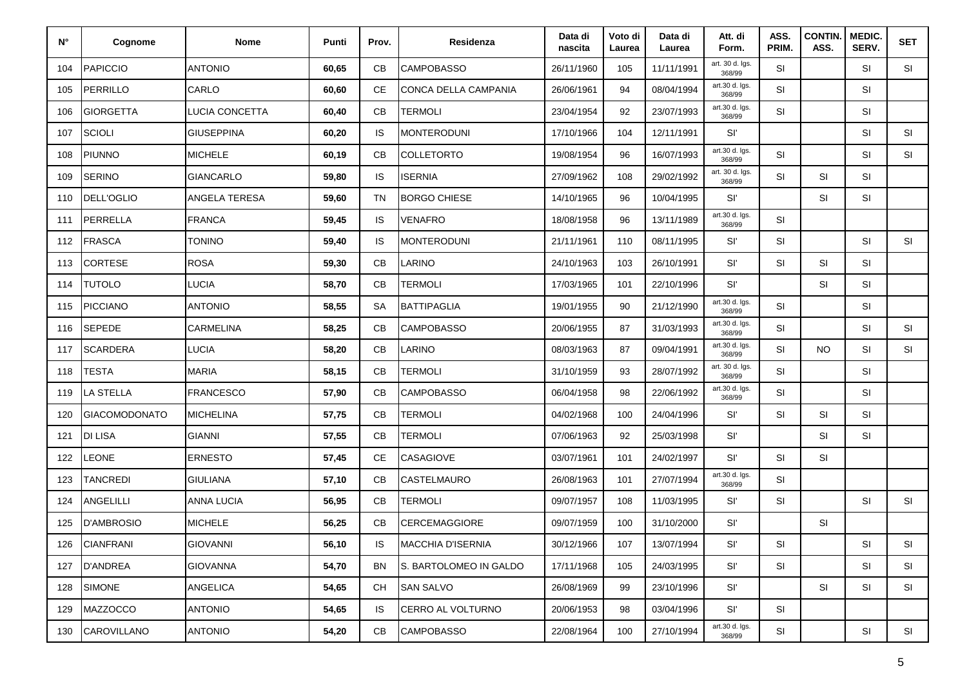| N°  | Cognome           | <b>Nome</b>       | Punti | Prov.     | <b>Residenza</b>       | Data di<br>nascita | Voto di<br>Laurea | Data di<br>Laurea | Att. di<br>Form.          | ASS.<br>PRIM. | <b>CONTIN.</b><br>ASS. | <b>MEDIC.</b><br>SERV. | <b>SET</b> |
|-----|-------------------|-------------------|-------|-----------|------------------------|--------------------|-------------------|-------------------|---------------------------|---------------|------------------------|------------------------|------------|
| 104 | <b>PAPICCIO</b>   | <b>ANTONIO</b>    | 60,65 | СB        | <b>CAMPOBASSO</b>      | 26/11/1960         | 105               | 11/11/1991        | art. 30 d. lgs.<br>368/99 | <b>SI</b>     |                        | <b>SI</b>              | SI         |
| 105 | PERRILLO          | CARLO             | 60,60 | CE        | CONCA DELLA CAMPANIA   | 26/06/1961         | 94                | 08/04/1994        | art.30 d. lgs.<br>368/99  | SI            |                        | <b>SI</b>              |            |
| 106 | GIORGETTA         | LUCIA CONCETTA    | 60,40 | CB        | <b>TERMOLI</b>         | 23/04/1954         | 92                | 23/07/1993        | art.30 d. Igs.<br>368/99  | SI            |                        | SI                     |            |
| 107 | <b>SCIOLI</b>     | <b>GIUSEPPINA</b> | 60,20 | <b>IS</b> | <b>MONTERODUNI</b>     | 17/10/1966         | 104               | 12/11/1991        | SI'                       |               |                        | <b>SI</b>              | SI         |
| 108 | <b>PIUNNO</b>     | <b>MICHELE</b>    | 60,19 | CB        | <b>COLLETORTO</b>      | 19/08/1954         | 96                | 16/07/1993        | art.30 d. Igs.<br>368/99  | <b>SI</b>     |                        | <b>SI</b>              | SI         |
| 109 | <b>SERINO</b>     | <b>GIANCARLO</b>  | 59,80 | <b>IS</b> | <b>ISERNIA</b>         | 27/09/1962         | 108               | 29/02/1992        | art. 30 d. lgs.<br>368/99 | SI            | SI                     | <b>SI</b>              |            |
| 110 | <b>DELL'OGLIO</b> | ANGELA TERESA     | 59,60 | TN        | <b>BORGO CHIESE</b>    | 14/10/1965         | 96                | 10/04/1995        | Sľ                        |               | SI                     | <b>SI</b>              |            |
| 111 | PERRELLA          | <b>FRANCA</b>     | 59,45 | <b>IS</b> | <b>VENAFRO</b>         | 18/08/1958         | 96                | 13/11/1989        | art.30 d. lgs.<br>368/99  | <b>SI</b>     |                        |                        |            |
| 112 | <b>FRASCA</b>     | <b>TONINO</b>     | 59,40 | <b>IS</b> | <b>MONTERODUNI</b>     | 21/11/1961         | 110               | 08/11/1995        | SI'                       | SI            |                        | <b>SI</b>              | SI         |
| 113 | CORTESE           | <b>ROSA</b>       | 59,30 | CB        | <b>LARINO</b>          | 24/10/1963         | 103               | 26/10/1991        | Sľ                        | SI            | SI                     | <b>SI</b>              |            |
| 114 | <b>TUTOLO</b>     | LUCIA             | 58,70 | CB        | <b>TERMOLI</b>         | 17/03/1965         | 101               | 22/10/1996        | SI'                       |               | <b>SI</b>              | <b>SI</b>              |            |
| 115 | <b>PICCIANO</b>   | <b>ANTONIO</b>    | 58,55 | SА        | BATTIPAGLIA            | 19/01/1955         | 90                | 21/12/1990        | art.30 d. Igs.<br>368/99  | <b>SI</b>     |                        | <b>SI</b>              |            |
| 116 | <b>SEPEDE</b>     | CARMELINA         | 58,25 | СB        | <b>CAMPOBASSO</b>      | 20/06/1955         | 87                | 31/03/1993        | art.30 d. Igs.<br>368/99  | SI            |                        | <b>SI</b>              | SI         |
| 117 | <b>SCARDERA</b>   | LUCIA             | 58,20 | СB        | <b>LARINO</b>          | 08/03/1963         | 87                | 09/04/1991        | art.30 d. Igs.<br>368/99  | SI            | <b>NO</b>              | <b>SI</b>              | SI         |
| 118 | <b>TESTA</b>      | <b>MARIA</b>      | 58,15 | CB        | <b>TERMOLI</b>         | 31/10/1959         | 93                | 28/07/1992        | art. 30 d. lgs.<br>368/99 | <b>SI</b>     |                        | <b>SI</b>              |            |
| 119 | LA STELLA         | <b>FRANCESCO</b>  | 57,90 | CB        | <b>CAMPOBASSO</b>      | 06/04/1958         | 98                | 22/06/1992        | art.30 d. Igs.<br>368/99  | SI            |                        | <b>SI</b>              |            |
| 120 | GIACOMODONATO     | <b>MICHELINA</b>  | 57,75 | CB        | <b>TERMOLI</b>         | 04/02/1968         | 100               | 24/04/1996        | Sľ                        | SI            | <b>SI</b>              | SI                     |            |
| 121 | DI LISA           | <b>GIANNI</b>     | 57,55 | CB        | <b>TERMOLI</b>         | 07/06/1963         | 92                | 25/03/1998        | Sľ                        |               | <b>SI</b>              | SI                     |            |
| 122 | _EONE             | <b>ERNESTO</b>    | 57,45 | <b>CE</b> | CASAGIOVE              | 03/07/1961         | 101               | 24/02/1997        | Sľ                        | <b>SI</b>     | <b>SI</b>              |                        |            |
| 123 | <b>TANCREDI</b>   | <b>GIULIANA</b>   | 57,10 | CB        | <b>CASTELMAURO</b>     | 26/08/1963         | 101               | 27/07/1994        | art.30 d. Igs.<br>368/99  | SI            |                        |                        |            |
| 124 | <b>ANGELILLI</b>  | <b>ANNA LUCIA</b> | 56,95 | CB        | <b>TERMOLI</b>         | 09/07/1957         | 108               | 11/03/1995        | Sľ                        | SI            |                        | <b>SI</b>              | SI         |
| 125 | D'AMBROSIO        | <b>MICHELE</b>    | 56,25 | CB        | <b>CERCEMAGGIORE</b>   | 09/07/1959         | 100               | 31/10/2000        | Sľ                        |               | SI                     |                        |            |
| 126 | <b>CIANFRANI</b>  | <b>GIOVANNI</b>   | 56,10 | <b>IS</b> | MACCHIA D'ISERNIA      | 30/12/1966         | 107               | 13/07/1994        | Sľ                        | SI            |                        | SI                     | SI         |
| 127 | <b>D'ANDREA</b>   | <b>GIOVANNA</b>   | 54,70 | <b>BN</b> | S. BARTOLOMEO IN GALDO | 17/11/1968         | 105               | 24/03/1995        | Sľ                        | SI            |                        | SI                     | SI         |
| 128 | <b>SIMONE</b>     | ANGELICA          | 54,65 | <b>CH</b> | <b>SAN SALVO</b>       | 26/08/1969         | 99                | 23/10/1996        | Sľ                        |               | SI                     | SI                     | SI         |
| 129 | <b>MAZZOCCO</b>   | <b>ANTONIO</b>    | 54,65 | <b>IS</b> | CERRO AL VOLTURNO      | 20/06/1953         | 98                | 03/04/1996        | Sľ.                       | SI            |                        |                        |            |
| 130 | CAROVILLANO       | <b>ANTONIO</b>    | 54,20 | СB        | <b>CAMPOBASSO</b>      | 22/08/1964         | 100               | 27/10/1994        | art.30 d. Igs.<br>368/99  | SI            |                        | SI                     | SI         |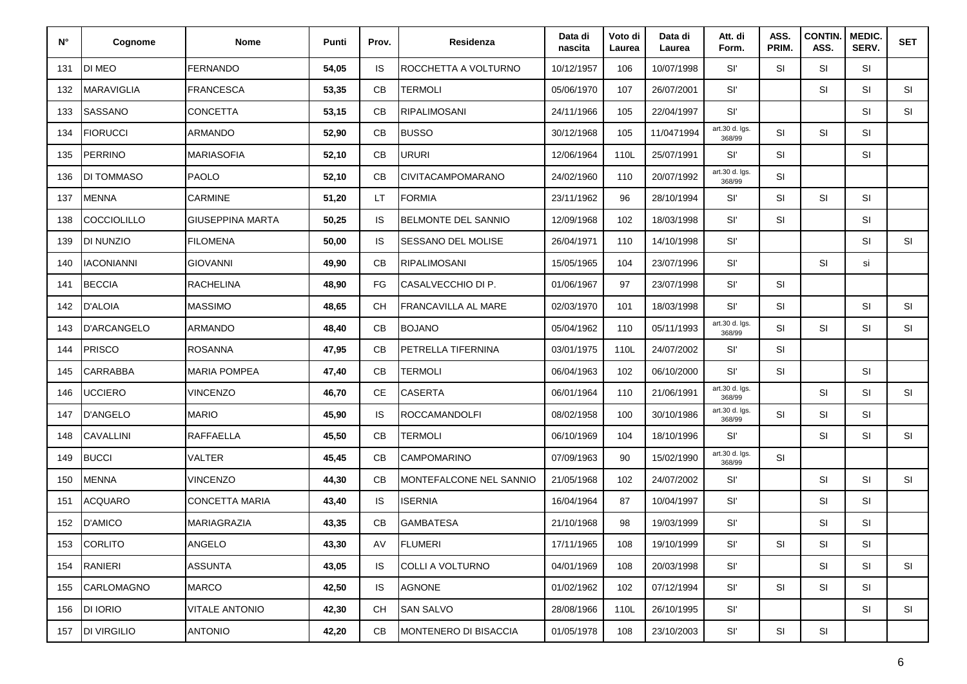| $N^{\circ}$ | Cognome            | <b>Nome</b>           | Punti | Prov.     | Residenza                  | Data di<br>nascita | Voto di<br>Laurea | Data di<br>Laurea | Att. di<br>Form.         | ASS.<br>PRIM. | <b>CONTIN.</b><br>ASS. | MEDIC.<br>SERV. | <b>SET</b> |
|-------------|--------------------|-----------------------|-------|-----------|----------------------------|--------------------|-------------------|-------------------|--------------------------|---------------|------------------------|-----------------|------------|
| 131         | <b>DI MEO</b>      | FERNANDO              | 54,05 | <b>IS</b> | ROCCHETTA A VOLTURNO       | 10/12/1957         | 106               | 10/07/1998        | Sľ                       | SI            | SI                     | <b>SI</b>       |            |
| 132         | <b>MARAVIGLIA</b>  | <b>FRANCESCA</b>      | 53,35 | CB        | TERMOLI                    | 05/06/1970         | 107               | 26/07/2001        | Sľ                       |               | SI                     | SI              | SI         |
| 133         | <b>SASSANO</b>     | CONCETTA              | 53,15 | CB        | <b>RIPALIMOSANI</b>        | 24/11/1966         | 105               | 22/04/1997        | Sľ                       |               |                        | <b>SI</b>       | SI         |
| 134         | <b>FIORUCCI</b>    | ARMANDO               | 52,90 | CB        | <b>BUSSO</b>               | 30/12/1968         | 105               | 11/0471994        | art.30 d. Igs.<br>368/99 | <b>SI</b>     | SI                     | <b>SI</b>       |            |
| 135         | <b>PERRINO</b>     | <b>MARIASOFIA</b>     | 52,10 | CB        | <b>URURI</b>               | 12/06/1964         | 110L              | 25/07/1991        | Sľ                       | SI            |                        | SI              |            |
| 136         | DI TOMMASO         | <b>PAOLO</b>          | 52,10 | СB        | <b>CIVITACAMPOMARANO</b>   | 24/02/1960         | 110               | 20/07/1992        | art.30 d. Igs.<br>368/99 | SI            |                        |                 |            |
| 137         | <b>MENNA</b>       | CARMINE               | 51,20 | LT        | <b>FORMIA</b>              | 23/11/1962         | 96                | 28/10/1994        | Sľ                       | SI            | SI                     | <b>SI</b>       |            |
| 138         | <b>COCCIOLILLO</b> | GIUSEPPINA MARTA      | 50,25 | <b>IS</b> | <b>BELMONTE DEL SANNIO</b> | 12/09/1968         | 102               | 18/03/1998        | Sľ                       | SI            |                        | <b>SI</b>       |            |
| 139         | DI NUNZIO          | <b>FILOMENA</b>       | 50,00 | <b>IS</b> | SESSANO DEL MOLISE         | 26/04/1971         | 110               | 14/10/1998        | Sľ                       |               |                        | SI              | SI         |
| 140         | <b>IACONIANNI</b>  | <b>GIOVANNI</b>       | 49,90 | CB        | <b>RIPALIMOSANI</b>        | 15/05/1965         | 104               | 23/07/1996        | Sľ                       |               | SI                     | si              |            |
| 141         | <b>BECCIA</b>      | <b>RACHELINA</b>      | 48,90 | FG        | CASALVECCHIO DI P.         | 01/06/1967         | 97                | 23/07/1998        | Sľ                       | <b>SI</b>     |                        |                 |            |
| 142         | <b>D'ALOIA</b>     | MASSIMO               | 48,65 | <b>CH</b> | <b>FRANCAVILLA AL MARE</b> | 02/03/1970         | 101               | 18/03/1998        | Sľ                       | <b>SI</b>     |                        | SI              | SI         |
| 143         | <b>D'ARCANGELO</b> | <b>ARMANDO</b>        | 48,40 | СB        | <b>BOJANO</b>              | 05/04/1962         | 110               | 05/11/1993        | art.30 d. Igs.<br>368/99 | SI            | SI                     | <b>SI</b>       | <b>SI</b>  |
| 144         | PRISCO             | <b>ROSANNA</b>        | 47,95 | CB        | PETRELLA TIFERNINA         | 03/01/1975         | 110L              | 24/07/2002        | Sľ                       | SI            |                        |                 |            |
| 145         | <b>CARRABBA</b>    | MARIA POMPEA          | 47,40 | CB        | TERMOLI                    | 06/04/1963         | 102               | 06/10/2000        | Sľ                       | SI            |                        | <b>SI</b>       |            |
| 146         | <b>UCCIERO</b>     | <b>VINCENZO</b>       | 46,70 | CE        | <b>CASERTA</b>             | 06/01/1964         | 110               | 21/06/1991        | art.30 d. Igs.<br>368/99 |               | SI                     | SI              | SI         |
| 147         | <b>D'ANGELO</b>    | <b>MARIO</b>          | 45,90 | <b>IS</b> | <b>ROCCAMANDOLFI</b>       | 08/02/1958         | 100               | 30/10/1986        | art.30 d. Igs.<br>368/99 | SI            | SI                     | SI              |            |
| 148         | <b>CAVALLINI</b>   | <b>RAFFAELLA</b>      | 45,50 | CB        | <b>TERMOLI</b>             | 06/10/1969         | 104               | 18/10/1996        | Sľ                       |               | SI                     | SI              | SI         |
| 149         | <b>BUCCI</b>       | VALTER                | 45,45 | CB        | <b>CAMPOMARINO</b>         | 07/09/1963         | 90                | 15/02/1990        | art.30 d. Igs.<br>368/99 | <b>SI</b>     |                        |                 |            |
| 150         | MENNA              | <b>VINCENZO</b>       | 44,30 | СB        | MONTEFALCONE NEL SANNIO    | 21/05/1968         | 102               | 24/07/2002        | Sľ                       |               | SI                     | <b>SI</b>       | SI         |
| 151         | <b>ACQUARO</b>     | <b>CONCETTA MARIA</b> | 43,40 | <b>IS</b> | <b>ISERNIA</b>             | 16/04/1964         | 87                | 10/04/1997        | Sľ                       |               | SI                     | <b>SI</b>       |            |
| 152         | <b>D'AMICO</b>     | MARIAGRAZIA           | 43,35 | CB        | <b>GAMBATESA</b>           | 21/10/1968         | 98                | 19/03/1999        | Sľ                       |               | SI                     | SI              |            |
| 153         | <b>CORLITO</b>     | ANGELO                | 43,30 | AV        | <b>FLUMERI</b>             | 17/11/1965         | 108               | 19/10/1999        | Sľ                       | SI            | SI                     | SI              |            |
| 154         | RANIERI            | <b>ASSUNTA</b>        | 43,05 | <b>IS</b> | COLLI A VOLTURNO           | 04/01/1969         | 108               | 20/03/1998        | Sľ                       |               | SI                     | <b>SI</b>       | <b>SI</b>  |
| 155         | CARLOMAGNO         | <b>MARCO</b>          | 42,50 | <b>IS</b> | AGNONE                     | 01/02/1962         | 102               | 07/12/1994        | SI'                      | SI            | SI                     | SI              |            |
| 156         | <b>DI IORIO</b>    | <b>VITALE ANTONIO</b> | 42,30 | <b>CH</b> | <b>SAN SALVO</b>           | 28/08/1966         | 110L              | 26/10/1995        | SI'                      |               |                        | <b>SI</b>       | SI         |
| 157         | <b>DI VIRGILIO</b> | <b>ANTONIO</b>        | 42,20 | CB        | MONTENERO DI BISACCIA      | 01/05/1978         | 108               | 23/10/2003        | Sľ                       | SI            | SI                     |                 |            |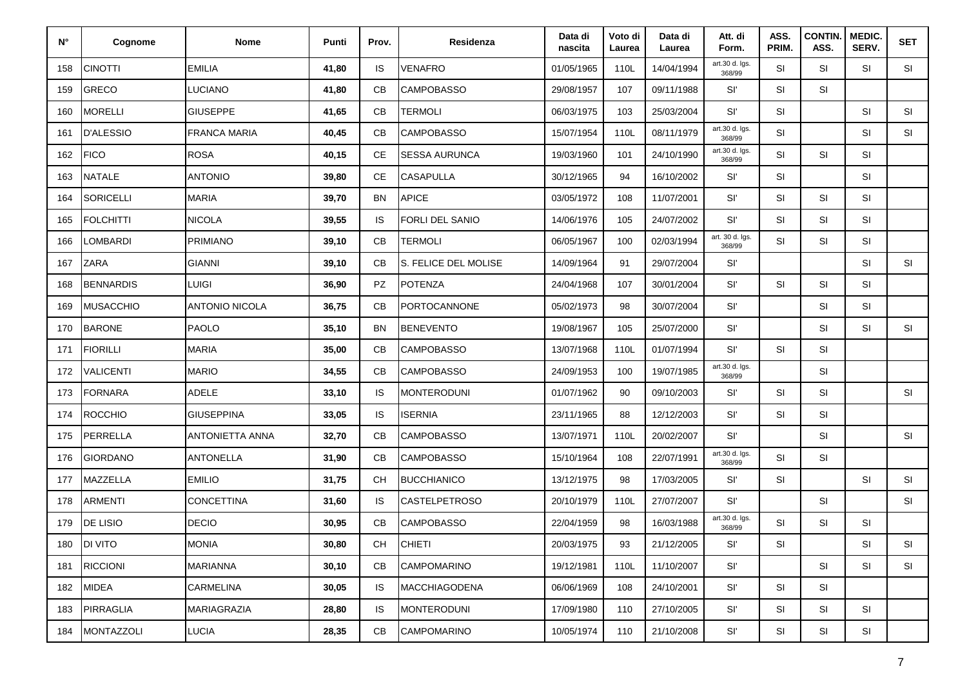| $N^{\circ}$ | Cognome          | Nome                | Punti | Prov.     | Residenza              | Data di<br>nascita | Voto di<br>Laurea | Data di<br>Laurea | Att. di<br>Form.          | ASS.<br>PRIM. | <b>CONTIN.</b><br>ASS. | MEDIC.<br>SERV. | <b>SET</b> |
|-------------|------------------|---------------------|-------|-----------|------------------------|--------------------|-------------------|-------------------|---------------------------|---------------|------------------------|-----------------|------------|
| 158         | <b>CINOTTI</b>   | <b>EMILIA</b>       | 41,80 | IS        | <b>VENAFRO</b>         | 01/05/1965         | 110L              | 14/04/1994        | art.30 d. Igs.<br>368/99  | SI            | SI                     | SI              | <b>SI</b>  |
| 159         | <b>GRECO</b>     | <b>LUCIANO</b>      | 41,80 | CB        | <b>CAMPOBASSO</b>      | 29/08/1957         | 107               | 09/11/1988        | Sľ                        | SI            | SI                     |                 |            |
| 160         | <b>MORELLI</b>   | <b>GIUSEPPE</b>     | 41,65 | CB        | <b>TERMOLI</b>         | 06/03/1975         | 103               | 25/03/2004        | Sľ                        | <b>SI</b>     |                        | <b>SI</b>       | SI         |
| 161         | <b>D'ALESSIO</b> | <b>FRANCA MARIA</b> | 40,45 | CB        | <b>CAMPOBASSO</b>      | 15/07/1954         | 110L              | 08/11/1979        | art.30 d. Igs.<br>368/99  | SI            |                        | SI              | SI         |
| 162         | <b>FICO</b>      | <b>ROSA</b>         | 40,15 | CE        | <b>SESSA AURUNCA</b>   | 19/03/1960         | 101               | 24/10/1990        | art.30 d. Igs.<br>368/99  | SI            | SI                     | SI              |            |
| 163         | <b>NATALE</b>    | <b>ANTONIO</b>      | 39,80 | CE        | <b>CASAPULLA</b>       | 30/12/1965         | 94                | 16/10/2002        | Sľ                        | <b>SI</b>     |                        | SI              |            |
| 164         | <b>SORICELLI</b> | <b>MARIA</b>        | 39,70 | <b>BN</b> | <b>APICE</b>           | 03/05/1972         | 108               | 11/07/2001        | Sľ                        | SI            | SI                     | <b>SI</b>       |            |
| 165         | <b>FOLCHITTI</b> | <b>NICOLA</b>       | 39,55 | <b>IS</b> | <b>FORLI DEL SANIO</b> | 14/06/1976         | 105               | 24/07/2002        | Sľ                        | SI            | SI                     | SI              |            |
| 166         | LOMBARDI         | <b>PRIMIANO</b>     | 39,10 | CB        | TERMOLI                | 06/05/1967         | 100               | 02/03/1994        | art. 30 d. lgs.<br>368/99 | SI            | SI                     | <b>SI</b>       |            |
| 167         | ZARA             | <b>GIANNI</b>       | 39,10 | CB        | S. FELICE DEL MOLISE   | 14/09/1964         | 91                | 29/07/2004        | Sľ                        |               |                        | <b>SI</b>       | SI         |
| 168         | <b>BENNARDIS</b> | <b>LUIGI</b>        | 36,90 | PZ        | <b>POTENZA</b>         | 24/04/1968         | 107               | 30/01/2004        | Sľ                        | SI            | SI                     | <b>SI</b>       |            |
| 169         | <b>MUSACCHIO</b> | ANTONIO NICOLA      | 36,75 | CB        | <b>PORTOCANNONE</b>    | 05/02/1973         | 98                | 30/07/2004        | Sľ                        |               | SI                     | <b>SI</b>       |            |
| 170         | <b>BARONE</b>    | PAOLO               | 35,10 | ΒN        | <b>BENEVENTO</b>       | 19/08/1967         | 105               | 25/07/2000        | Sľ                        |               | SI                     | SI              | SI         |
| 171         | <b>FIORILLI</b>  | <b>MARIA</b>        | 35,00 | CB        | <b>CAMPOBASSO</b>      | 13/07/1968         | 110L              | 01/07/1994        | Sľ                        | SI            | SI                     |                 |            |
| 172         | <b>VALICENTI</b> | <b>MARIO</b>        | 34,55 | CB        | <b>CAMPOBASSO</b>      | 24/09/1953         | 100               | 19/07/1985        | art.30 d. Igs.<br>368/99  |               | SI                     |                 |            |
| 173         | <b>FORNARA</b>   | ADELE               | 33,10 | <b>IS</b> | <b>MONTERODUNI</b>     | 01/07/1962         | 90                | 09/10/2003        | Sľ                        | SI            | SI                     |                 | SI         |
| 174         | <b>ROCCHIO</b>   | <b>GIUSEPPINA</b>   | 33,05 | <b>IS</b> | <b>ISERNIA</b>         | 23/11/1965         | 88                | 12/12/2003        | Sľ                        | SI            | SI                     |                 |            |
| 175         | PERRELLA         | ANTONIETTA ANNA     | 32,70 | CB        | <b>CAMPOBASSO</b>      | 13/07/1971         | 110L              | 20/02/2007        | Sľ                        |               | SI                     |                 | SI         |
| 176         | <b>GIORDANO</b>  | <b>ANTONELLA</b>    | 31,90 | CB        | <b>CAMPOBASSO</b>      | 15/10/1964         | 108               | 22/07/1991        | art.30 d. Igs.<br>368/99  | <b>SI</b>     | SI                     |                 |            |
| 177         | MAZZELLA         | <b>EMILIO</b>       | 31,75 | <b>CH</b> | <b>BUCCHIANICO</b>     | 13/12/1975         | 98                | 17/03/2005        | Sľ                        | SI            |                        | SI              | SI         |
| 178         | <b>ARMENTI</b>   | <b>CONCETTINA</b>   | 31,60 | <b>IS</b> | <b>CASTELPETROSO</b>   | 20/10/1979         | 110L              | 27/07/2007        | Sľ                        |               | SI                     |                 | SI         |
| 179         | DE LISIO         | <b>DECIO</b>        | 30,95 | CB        | <b>CAMPOBASSO</b>      | 22/04/1959         | 98                | 16/03/1988        | art.30 d. Igs.<br>368/99  | SI            | SI                     | SI              |            |
|             | 180 DI VITO      | <b>MONIA</b>        | 30,80 | <b>CH</b> | CHIETI                 | 20/03/1975         | 93                | 21/12/2005        | Sľ                        | SI            |                        | SI              | SI         |
| 181         | <b>RICCIONI</b>  | <b>MARIANNA</b>     | 30,10 | CB        | <b>CAMPOMARINO</b>     | 19/12/1981         | 110L              | 11/10/2007        | SI'                       |               | <b>SI</b>              | SI              | SI         |
| 182         | <b>MIDEA</b>     | CARMELINA           | 30,05 | <b>IS</b> | <b>MACCHIAGODENA</b>   | 06/06/1969         | 108               | 24/10/2001        | SI'                       | SI            | SI                     |                 |            |
| 183         | <b>PIRRAGLIA</b> | MARIAGRAZIA         | 28,80 | IS        | <b>MONTERODUNI</b>     | 17/09/1980         | 110               | 27/10/2005        | SI'                       | SI            | SI                     | <b>SI</b>       |            |
| 184         | MONTAZZOLI       | LUCIA               | 28,35 | CB        | <b>CAMPOMARINO</b>     | 10/05/1974         | 110               | 21/10/2008        | Sľ                        | SI            | SI                     | SI              |            |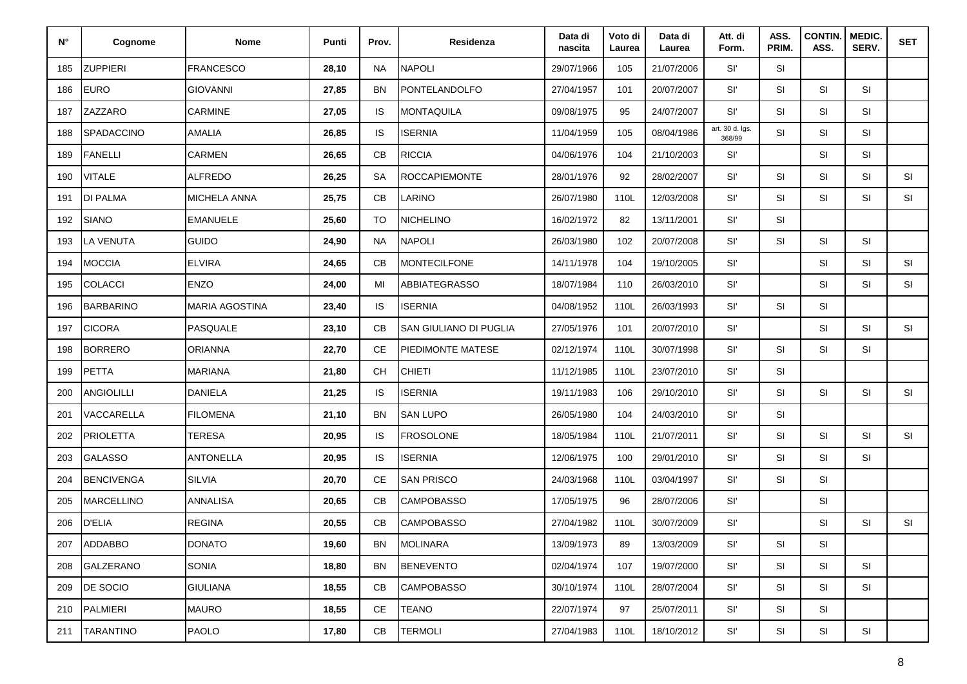| $N^{\circ}$ | Cognome           | Nome                  | Punti | Prov.         | Residenza                     | Data di<br>nascita | Voto di<br>Laurea | Data di<br>Laurea | Att. di<br>Form.          | ASS.<br>PRIM. | CONTIN.<br>ASS. | MEDIC.<br>SERV. | <b>SET</b> |
|-------------|-------------------|-----------------------|-------|---------------|-------------------------------|--------------------|-------------------|-------------------|---------------------------|---------------|-----------------|-----------------|------------|
| 185         | <b>ZUPPIERI</b>   | <b>FRANCESCO</b>      | 28,10 | <b>NA</b>     | <b>NAPOLI</b>                 | 29/07/1966         | 105               | 21/07/2006        | Sľ                        | SI            |                 |                 |            |
| 186         | <b>EURO</b>       | <b>GIOVANNI</b>       | 27,85 | BN            | PONTELANDOLFO                 | 27/04/1957         | 101               | 20/07/2007        | Sľ                        | SI            | SI              | SI              |            |
| 187         | ZAZZARO           | CARMINE               | 27,05 | <b>IS</b>     | <b>MONTAQUILA</b>             | 09/08/1975         | 95                | 24/07/2007        | Sľ                        | SI            | SI              | <b>SI</b>       |            |
| 188         | SPADACCINO        | AMALIA                | 26,85 | <b>IS</b>     | <b>ISERNIA</b>                | 11/04/1959         | 105               | 08/04/1986        | art. 30 d. lgs.<br>368/99 | SI            | SI              | SI              |            |
| 189         | <b>FANELLI</b>    | CARMEN                | 26,65 | CB            | <b>RICCIA</b>                 | 04/06/1976         | 104               | 21/10/2003        | Sľ                        |               | SI              | <b>SI</b>       |            |
| 190         | <b>VITALE</b>     | <b>ALFREDO</b>        | 26,25 | <b>SA</b>     | <b>ROCCAPIEMONTE</b>          | 28/01/1976         | 92                | 28/02/2007        | Sľ                        | <b>SI</b>     | SI              | <b>SI</b>       | SI         |
| 191         | <b>DI PALMA</b>   | MICHELA ANNA          | 25,75 | CB            | LARINO                        | 26/07/1980         | 110L              | 12/03/2008        | Sľ                        | SI            | SI              | SI              | SI         |
| 192         | <b>SIANO</b>      | <b>EMANUELE</b>       | 25,60 | <b>TO</b>     | NICHELINO                     | 16/02/1972         | 82                | 13/11/2001        | Sľ                        | SI            |                 |                 |            |
| 193         | <b>LA VENUTA</b>  | <b>GUIDO</b>          | 24,90 | <b>NA</b>     | <b>NAPOLI</b>                 | 26/03/1980         | 102               | 20/07/2008        | Sľ                        | <b>SI</b>     | SI              | SI              |            |
| 194         | <b>MOCCIA</b>     | <b>ELVIRA</b>         | 24,65 | CB            | <b>MONTECILFONE</b>           | 14/11/1978         | 104               | 19/10/2005        | Sľ                        |               | SI              | <b>SI</b>       | SI         |
| 195         | <b>COLACCI</b>    | <b>ENZO</b>           | 24,00 | MI            | <b>ABBIATEGRASSO</b>          | 18/07/1984         | 110               | 26/03/2010        | Sľ                        |               | SI              | <b>SI</b>       | SI         |
| 196         | <b>BARBARINO</b>  | <b>MARIA AGOSTINA</b> | 23,40 | IS            | <b>ISERNIA</b>                | 04/08/1952         | 110L              | 26/03/1993        | Sľ                        | SI            | SI              |                 |            |
| 197         | <b>CICORA</b>     | PASQUALE              | 23,10 | CB            | <b>SAN GIULIANO DI PUGLIA</b> | 27/05/1976         | 101               | 20/07/2010        | Sľ                        |               | SI              | <b>SI</b>       | SI         |
| 198         | <b>BORRERO</b>    | <b>ORIANNA</b>        | 22,70 | <b>CE</b>     | PIEDIMONTE MATESE             | 02/12/1974         | 110L              | 30/07/1998        | Sľ                        | SI            | SI              | SI              |            |
| 199         | <b>PETTA</b>      | <b>MARIANA</b>        | 21,80 | <b>CH</b>     | <b>CHIETI</b>                 | 11/12/1985         | 110L              | 23/07/2010        | Sľ                        | SI            |                 |                 |            |
| 200         | <b>ANGIOLILLI</b> | <b>DANIELA</b>        | 21,25 | <b>IS</b>     | <b>ISERNIA</b>                | 19/11/1983         | 106               | 29/10/2010        | Sľ                        | SI            | SI              | SI              | SI         |
| 201         | VACCARELLA        | <b>FILOMENA</b>       | 21,10 | <b>BN</b>     | <b>SAN LUPO</b>               | 26/05/1980         | 104               | 24/03/2010        | Sľ                        | SI            |                 |                 |            |
| 202         | <b>PRIOLETTA</b>  | <b>TERESA</b>         | 20,95 | <b>IS</b>     | <b>FROSOLONE</b>              | 18/05/1984         | 110L              | 21/07/2011        | Sľ                        | SI            | SI              | SI              | SI         |
| 203         | <b>GALASSO</b>    | <b>ANTONELLA</b>      | 20,95 | IS            | <b>ISERNIA</b>                | 12/06/1975         | 100               | 29/01/2010        | Sľ                        | SI            | SI              | SI              |            |
| 204         | <b>BENCIVENGA</b> | <b>SILVIA</b>         | 20,70 | <b>CE</b>     | <b>SAN PRISCO</b>             | 24/03/1968         | 110L              | 03/04/1997        | Sľ                        | <b>SI</b>     | SI              |                 |            |
| 205         | <b>MARCELLINO</b> | ANNALISA              | 20,65 | CB            | <b>CAMPOBASSO</b>             | 17/05/1975         | 96                | 28/07/2006        | Sľ                        |               | SI              |                 |            |
| 206         | <b>D'ELIA</b>     | <b>REGINA</b>         | 20,55 | CB            | <b>CAMPOBASSO</b>             | 27/04/1982         | 110L              | 30/07/2009        | $\mathsf{SI}'$            |               | SI              | SI              | SI         |
|             | 207 ADDABBO       | <b>DONATO</b>         | 19,60 | ΒN            | MOLINARA                      | 13/09/1973         | 89                | 13/03/2009        | Sľ                        | SI            | SI              |                 |            |
| 208         | GALZERANO         | SONIA                 | 18,80 | <b>BN</b>     | BENEVENTO                     | 02/04/1974         | 107               | 19/07/2000        | SI'                       | SI            | SI              | SI              |            |
| 209         | DE SOCIO          | <b>GIULIANA</b>       | 18,55 | CB            | <b>CAMPOBASSO</b>             | 30/10/1974         | 110L              | 28/07/2004        | SI'                       | SI            | SI              | SI              |            |
| 210         | PALMIERI          | <b>MAURO</b>          | 18,55 | <b>CE</b>     | <b>TEANO</b>                  | 22/07/1974         | 97                | 25/07/2011        | SI'                       | SI            | SI              |                 |            |
|             | 211 TARANTINO     | PAOLO                 | 17,80 | $\mathsf{CB}$ | <b>TERMOLI</b>                | 27/04/1983         | 110L              | 18/10/2012        | Sľ                        | SI            | SI              | SI              |            |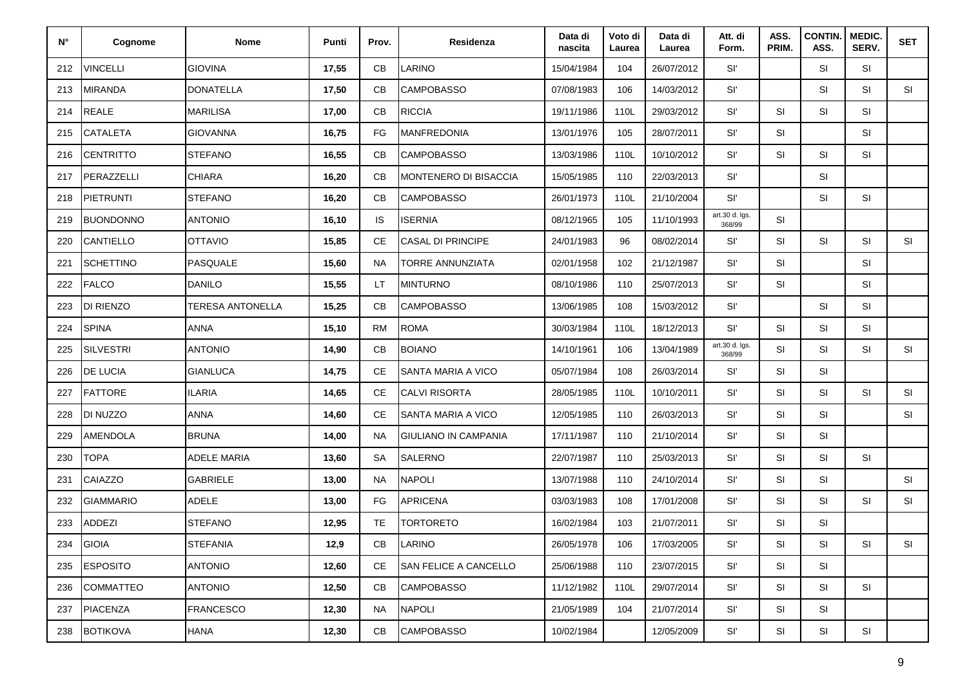| N°  | Cognome          | Nome               | Punti  | Prov.         | Residenza                   | Data di<br>nascita | Voto di<br>Laurea | Data di<br>Laurea | Att. di<br>Form.         | ASS.<br>PRIM. | <b>CONTIN.</b><br>ASS. | <b>MEDIC.</b><br>SERV. | <b>SET</b> |
|-----|------------------|--------------------|--------|---------------|-----------------------------|--------------------|-------------------|-------------------|--------------------------|---------------|------------------------|------------------------|------------|
| 212 | VINCELLI         | <b>GIOVINA</b>     | 17,55  | СB            | LARINO                      | 15/04/1984         | 104               | 26/07/2012        | Sľ                       |               | SI                     | SI                     |            |
| 213 | <b>MIRANDA</b>   | <b>DONATELLA</b>   | 17,50  | CB            | <b>CAMPOBASSO</b>           | 07/08/1983         | 106               | 14/03/2012        | Sľ                       |               | SI                     | SI                     | SI         |
| 214 | <b>REALE</b>     | <b>MARILISA</b>    | 17,00  | CB            | <b>RICCIA</b>               | 19/11/1986         | 110L              | 29/03/2012        | Sľ                       | <b>SI</b>     | SI                     | SI                     |            |
| 215 | <b>CATALETA</b>  | <b>GIOVANNA</b>    | 16,75  | FG            | <b>MANFREDONIA</b>          | 13/01/1976         | 105               | 28/07/2011        | Sľ                       | SI            |                        | <b>SI</b>              |            |
| 216 | <b>CENTRITTO</b> | <b>STEFANO</b>     | 16,55  | CB            | <b>CAMPOBASSO</b>           | 13/03/1986         | 110L              | 10/10/2012        | Sľ                       | <b>SI</b>     | SI                     | SI                     |            |
| 217 | PERAZZELLI       | <b>CHIARA</b>      | 16,20  | CB            | MONTENERO DI BISACCIA       | 15/05/1985         | 110               | 22/03/2013        | Sľ                       |               | SI                     |                        |            |
| 218 | <b>PIETRUNTI</b> | <b>STEFANO</b>     | 16,20  | CB            | <b>CAMPOBASSO</b>           | 26/01/1973         | 110L              | 21/10/2004        | Sľ                       |               | SI                     | SI                     |            |
| 219 | <b>BUONDONNO</b> | <b>ANTONIO</b>     | 16, 10 | IS            | <b>ISERNIA</b>              | 08/12/1965         | 105               | 11/10/1993        | art.30 d. Igs.<br>368/99 | <b>SI</b>     |                        |                        |            |
| 220 | CANTIELLO        | <b>OTTAVIO</b>     | 15,85  | CE            | <b>CASAL DI PRINCIPE</b>    | 24/01/1983         | 96                | 08/02/2014        | Sľ                       | <b>SI</b>     | <b>SI</b>              | SI                     | SI         |
| 221 | <b>SCHETTINO</b> | <b>PASQUALE</b>    | 15,60  | <b>NA</b>     | TORRE ANNUNZIATA            | 02/01/1958         | 102               | 21/12/1987        | Sľ                       | <b>SI</b>     |                        | SI                     |            |
| 222 | <b>FALCO</b>     | <b>DANILO</b>      | 15,55  | LT            | <b>MINTURNO</b>             | 08/10/1986         | 110               | 25/07/2013        | Sľ                       | SI            |                        | <b>SI</b>              |            |
| 223 | DI RIENZO        | TERESA ANTONELLA   | 15,25  | СB            | <b>CAMPOBASSO</b>           | 13/06/1985         | 108               | 15/03/2012        | Sľ                       |               | SI                     | <b>SI</b>              |            |
| 224 | <b>SPINA</b>     | <b>ANNA</b>        | 15,10  | <b>RM</b>     | <b>ROMA</b>                 | 30/03/1984         | 110L              | 18/12/2013        | Sľ                       | <b>SI</b>     | SI                     | SI                     |            |
| 225 | <b>SILVESTRI</b> | <b>ANTONIO</b>     | 14,90  | СB            | <b>BOIANO</b>               | 14/10/1961         | 106               | 13/04/1989        | art.30 d. Igs.<br>368/99 | <b>SI</b>     | SI                     | SI                     | SI         |
| 226 | DE LUCIA         | <b>GIANLUCA</b>    | 14,75  | CE            | SANTA MARIA A VICO          | 05/07/1984         | 108               | 26/03/2014        | Sľ                       | <b>SI</b>     | SI                     |                        |            |
| 227 | FATTORE          | <b>ILARIA</b>      | 14,65  | <b>CE</b>     | <b>CALVI RISORTA</b>        | 28/05/1985         | 110L              | 10/10/2011        | Sľ                       | <b>SI</b>     | SI                     | SI                     | <b>SI</b>  |
| 228 | DI NUZZO         | <b>ANNA</b>        | 14,60  | CE            | SANTA MARIA A VICO          | 12/05/1985         | 110               | 26/03/2013        | Sľ                       | <b>SI</b>     | SI                     |                        | <b>SI</b>  |
| 229 | AMENDOLA         | <b>BRUNA</b>       | 14,00  | <b>NA</b>     | <b>GIULIANO IN CAMPANIA</b> | 17/11/1987         | 110               | 21/10/2014        | Sľ                       | <b>SI</b>     | <b>SI</b>              |                        |            |
| 230 | <b>TOPA</b>      | <b>ADELE MARIA</b> | 13,60  | <b>SA</b>     | SALERNO                     | 22/07/1987         | 110               | 25/03/2013        | Sľ                       | <b>SI</b>     | SI                     | <b>SI</b>              |            |
| 231 | CAIAZZO          | <b>GABRIELE</b>    | 13,00  | <b>NA</b>     | <b>NAPOLI</b>               | 13/07/1988         | 110               | 24/10/2014        | Sľ                       | <b>SI</b>     | SI                     |                        | SI         |
| 232 | <b>GIAMMARIO</b> | <b>ADELE</b>       | 13,00  | FG            | <b>APRICENA</b>             | 03/03/1983         | 108               | 17/01/2008        | Sľ                       | <b>SI</b>     | SI                     | SI                     | SI         |
| 233 | <b>ADDEZI</b>    | <b>STEFANO</b>     | 12,95  | TE            | TORTORETO                   | 16/02/1984         | 103               | 21/07/2011        | Sľ                       | <b>SI</b>     | SI                     |                        |            |
| 234 | GIOIA            | <b>STEFANIA</b>    | 12,9   | CВ            | LARINO                      | 26/05/1978         | 106               | 17/03/2005        | Sľ                       | SI            | SI                     | SI                     | <b>SI</b>  |
| 235 | <b>ESPOSITO</b>  | <b>ANTONIO</b>     | 12,60  | <b>CE</b>     | SAN FELICE A CANCELLO       | 25/06/1988         | 110               | 23/07/2015        | Sľ                       | SI            | SI                     |                        |            |
| 236 | <b>COMMATTEO</b> | <b>ANTONIO</b>     | 12,50  | CB            | <b>CAMPOBASSO</b>           | 11/12/1982         | 110L              | 29/07/2014        | Sľ                       | SI            | SI                     | SI                     |            |
| 237 | <b>PIACENZA</b>  | <b>FRANCESCO</b>   | 12,30  | <b>NA</b>     | NAPOLI                      | 21/05/1989         | 104               | 21/07/2014        | Sľ                       | <b>SI</b>     | SI                     |                        |            |
| 238 | <b>BOTIKOVA</b>  | <b>HANA</b>        | 12,30  | $\mathsf{CB}$ | <b>CAMPOBASSO</b>           | 10/02/1984         |                   | 12/05/2009        | Sľ                       | SI            | SI                     | SI                     |            |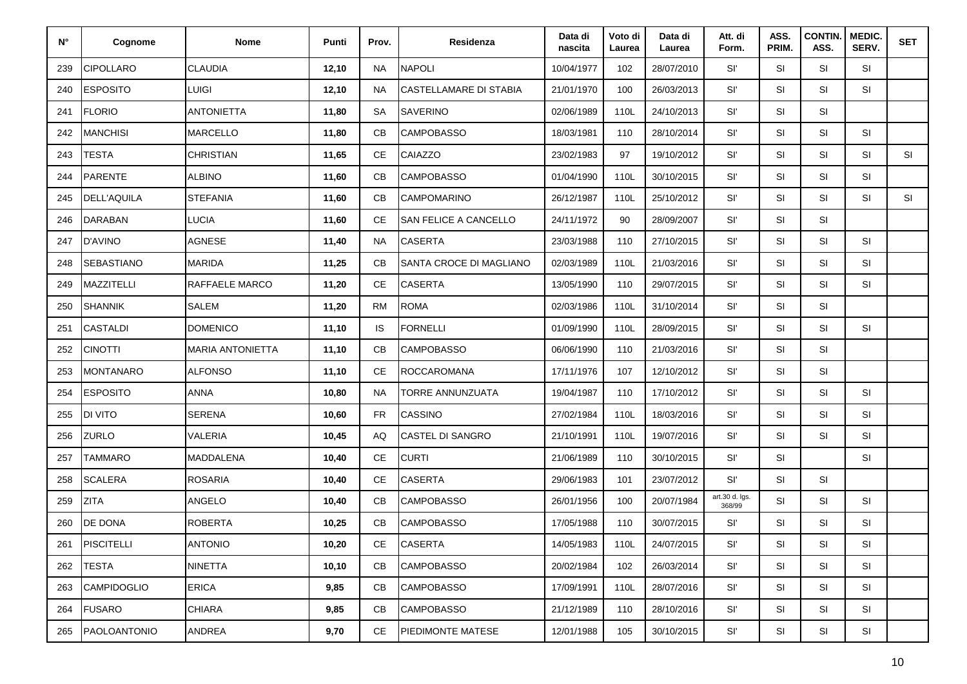| N°  | Cognome            | <b>Nome</b>             | Punti  | Prov.         | Residenza                     | Data di<br>nascita | Voto di<br>Laurea | Data di<br>Laurea | Att. di<br>Form.         | ASS.<br>PRIM. | <b>CONTIN.</b><br>ASS. | MEDIC.<br>SERV. | <b>SET</b> |
|-----|--------------------|-------------------------|--------|---------------|-------------------------------|--------------------|-------------------|-------------------|--------------------------|---------------|------------------------|-----------------|------------|
| 239 | <b>CIPOLLARO</b>   | <b>CLAUDIA</b>          | 12,10  | <b>NA</b>     | <b>NAPOLI</b>                 | 10/04/1977         | 102               | 28/07/2010        | Sľ                       | SI            | <b>SI</b>              | SI              |            |
| 240 | <b>ESPOSITO</b>    | LUIGI                   | 12,10  | <b>NA</b>     | <b>CASTELLAMARE DI STABIA</b> | 21/01/1970         | 100               | 26/03/2013        | Sľ                       | SI            | SI                     | SI              |            |
| 241 | <b>FLORIO</b>      | <b>ANTONIETTA</b>       | 11,80  | <b>SA</b>     | <b>SAVERINO</b>               | 02/06/1989         | 110L              | 24/10/2013        | Sľ                       | SI            | SI                     |                 |            |
| 242 | <b>MANCHISI</b>    | <b>MARCELLO</b>         | 11,80  | CB            | <b>CAMPOBASSO</b>             | 18/03/1981         | 110               | 28/10/2014        | Sľ                       | SI            | SI                     | SI              |            |
| 243 | <b>TESTA</b>       | <b>CHRISTIAN</b>        | 11,65  | <b>CE</b>     | CAIAZZO                       | 23/02/1983         | 97                | 19/10/2012        | Sľ                       | SI            | SI                     | SI              | SI         |
| 244 | <b>PARENTE</b>     | <b>ALBINO</b>           | 11,60  | CB            | <b>CAMPOBASSO</b>             | 01/04/1990         | 110L              | 30/10/2015        | Sľ                       | SI            | SI                     | SI              |            |
| 245 | <b>DELL'AQUILA</b> | <b>STEFANIA</b>         | 11,60  | CB            | <b>CAMPOMARINO</b>            | 26/12/1987         | 110L              | 25/10/2012        | Sľ                       | SI            | <b>SI</b>              | SI              | SI         |
| 246 | <b>DARABAN</b>     | LUCIA                   | 11,60  | <b>CE</b>     | <b>SAN FELICE A CANCELLO</b>  | 24/11/1972         | 90                | 28/09/2007        | Sľ                       | SI            | SI                     |                 |            |
| 247 | <b>D'AVINO</b>     | <b>AGNESE</b>           | 11,40  | <b>NA</b>     | <b>CASERTA</b>                | 23/03/1988         | 110               | 27/10/2015        | Sľ                       | SI            | SI                     | SI              |            |
| 248 | <b>SEBASTIANO</b>  | <b>MARIDA</b>           | 11,25  | CB            | SANTA CROCE DI MAGLIANO       | 02/03/1989         | 110L              | 21/03/2016        | Sľ                       | <b>SI</b>     | SI                     | SI              |            |
| 249 | <b>MAZZITELLI</b>  | <b>RAFFAELE MARCO</b>   | 11,20  | <b>CE</b>     | <b>CASERTA</b>                | 13/05/1990         | 110               | 29/07/2015        | Sľ                       | SI            | SI                     | SI              |            |
| 250 | <b>SHANNIK</b>     | <b>SALEM</b>            | 11,20  | <b>RM</b>     | <b>ROMA</b>                   | 02/03/1986         | 110L              | 31/10/2014        | SI'                      | SI            | SI                     |                 |            |
| 251 | <b>CASTALDI</b>    | <b>DOMENICO</b>         | 11,10  | <b>IS</b>     | <b>FORNELLI</b>               | 01/09/1990         | 110L              | 28/09/2015        | Sľ                       | SI            | <b>SI</b>              | SI              |            |
| 252 | <b>CINOTTI</b>     | <b>MARIA ANTONIETTA</b> | 11,10  | CB            | <b>CAMPOBASSO</b>             | 06/06/1990         | 110               | 21/03/2016        | Sľ                       | <b>SI</b>     | <b>SI</b>              |                 |            |
| 253 | <b>MONTANARO</b>   | <b>ALFONSO</b>          | 11,10  | <b>CE</b>     | <b>ROCCAROMANA</b>            | 17/11/1976         | 107               | 12/10/2012        | SI'                      | SI            | SI                     |                 |            |
| 254 | <b>ESPOSITO</b>    | <b>ANNA</b>             | 10,80  | <b>NA</b>     | TORRE ANNUNZUATA              | 19/04/1987         | 110               | 17/10/2012        | Sľ                       | <b>SI</b>     | SI                     | SI              |            |
| 255 | <b>DI VITO</b>     | SERENA                  | 10,60  | <b>FR</b>     | <b>CASSINO</b>                | 27/02/1984         | 110L              | 18/03/2016        | Sľ                       | <b>SI</b>     | SI                     | SI              |            |
| 256 | ZURLO              | VALERIA                 | 10,45  | AQ            | <b>CASTEL DI SANGRO</b>       | 21/10/1991         | 110L              | 19/07/2016        | Sľ                       | <b>SI</b>     | <b>SI</b>              | SI              |            |
| 257 | <b>TAMMARO</b>     | <b>MADDALENA</b>        | 10,40  | $\mathsf{CE}$ | <b>CURTI</b>                  | 21/06/1989         | 110               | 30/10/2015        | SI'                      | SI            |                        | SI              |            |
| 258 | <b>SCALERA</b>     | <b>ROSARIA</b>          | 10,40  | <b>CE</b>     | <b>CASERTA</b>                | 29/06/1983         | 101               | 23/07/2012        | SI'                      | <b>SI</b>     | <b>SI</b>              |                 |            |
| 259 | <b>ZITA</b>        | <b>ANGELO</b>           | 10,40  | CB            | <b>CAMPOBASSO</b>             | 26/01/1956         | 100               | 20/07/1984        | art.30 d. Igs.<br>368/99 | <b>SI</b>     | SI                     | SI              |            |
| 260 | DE DONA            | <b>ROBERTA</b>          | 10,25  | CB            | <b>CAMPOBASSO</b>             | 17/05/1988         | 110               | 30/07/2015        | SI'                      | SI            | SI                     | SI              |            |
| 261 | <b>PISCITELLI</b>  | <b>ANTONIO</b>          | 10,20  | CE            | <b>CASERTA</b>                | 14/05/1983         | 110L              | 24/07/2015        | Sľ                       | SI            | SI                     | SI              |            |
| 262 | <b>TESTA</b>       | <b>NINETTA</b>          | 10, 10 | CB            | <b>CAMPOBASSO</b>             | 20/02/1984         | 102               | 26/03/2014        | Sľ                       | <b>SI</b>     | <b>SI</b>              | SI              |            |
| 263 | <b>CAMPIDOGLIO</b> | <b>ERICA</b>            | 9,85   | CB            | <b>CAMPOBASSO</b>             | 17/09/1991         | 110L              | 28/07/2016        | Sľ                       | <b>SI</b>     | <b>SI</b>              | SI              |            |
| 264 | <b>FUSARO</b>      | <b>CHIARA</b>           | 9,85   | CB            | <b>CAMPOBASSO</b>             | 21/12/1989         | 110               | 28/10/2016        | Sľ                       | SI            | SI                     | SI              |            |
| 265 | PAOLOANTONIO       | ANDREA                  | 9,70   | $\mathsf{CE}$ | PIEDIMONTE MATESE             | 12/01/1988         | 105               | 30/10/2015        | Sľ                       | SI            | SI                     | SI              |            |